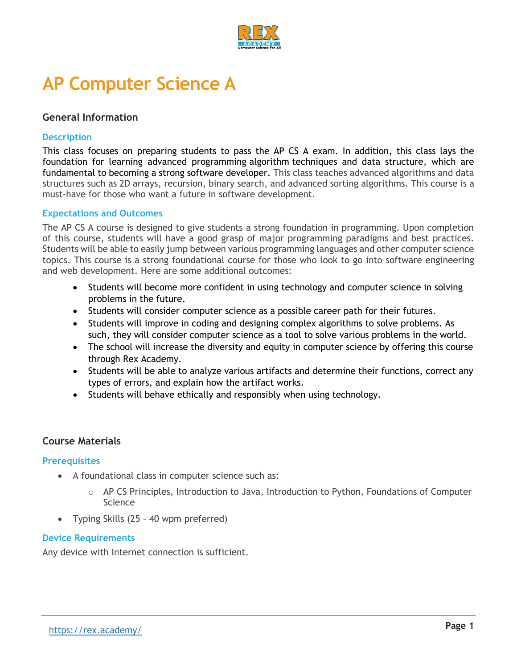

# **AP Computer Science A**

# **General Information**

### **Description**

This class focuses on preparing students to pass the AP CS A exam. In addition, this class lays the foundation for learning advanced programming algorithm techniques and data structure, which are fundamental to becoming a strong software developer. This class teaches advanced algorithms and data structures such as 2D arrays, recursion, binary search, and advanced sorting algorithms. This course is a must-have for those who want a future in software development.

#### **Expectations and Outcomes**

The AP CS A course is designed to give students a strong foundation in programming. Upon completion of this course, students will have a good grasp of major programming paradigms and best practices. Students will be able to easily jump between various programming languages and other computer science topics. This course is a strong foundational course for those who look to go into software engineering and web development. Here are some additional outcomes:

- Students will become more confident in using technology and computer science in solving problems in the future.
- Students will consider computer science as a possible career path for their futures.
- Students will improve in coding and designing complex algorithms to solve problems. As such, they will consider computer science as a tool to solve various problems in the world.
- The school will increase the diversity and equity in computer science by offering this course through Rex Academy.
- Students will be able to analyze various artifacts and determine their functions, correct any types of errors, and explain how the artifact works.
- Students will behave ethically and responsibly when using technology.

# **Course Materials**

#### **Prerequisites**

- A foundational class in computer science such as:
	- $\circ$  AP CS Principles, Introduction to Java, Introduction to Python, Foundations of Computer Science
- Typing Skills (25 40 wpm preferred)

#### **Device Requirements**

Any device with Internet connection is sufficient.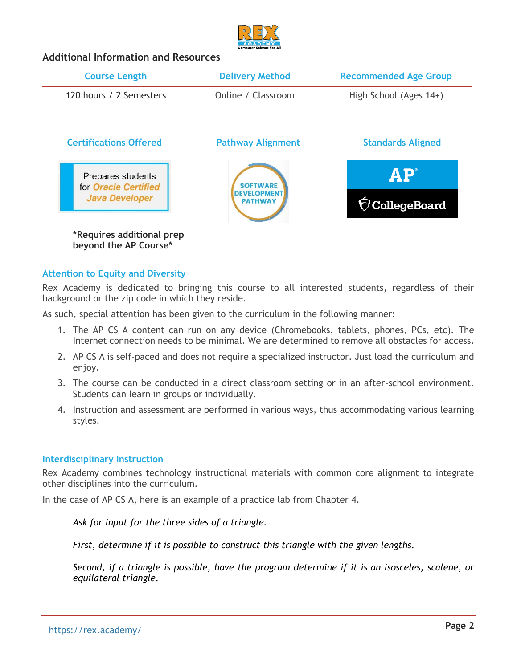

# **Additional Information and Resources**

| <b>Course Length</b>                               | <b>Delivery Method</b>               | <b>Recommended Age Group</b> |
|----------------------------------------------------|--------------------------------------|------------------------------|
| 120 hours / 2 Semesters                            | Online / Classroom                   | High School (Ages 14+)       |
| <b>Certifications Offered</b>                      | <b>Pathway Alignment</b>             | <b>Standards Aligned</b>     |
| Prepares students<br>for Oracle Certified          | <b>SOFTWARE</b>                      | $\mathbf{AP}^{\circ}$        |
| <b>Java Developer</b>                              | <b>DEVELOPMENT</b><br><b>PATHWAY</b> | $\hat{\nabla}$ CollegeBoard  |
| *Requires additional prep<br>beyond the AP Course* |                                      |                              |

# **Attention to Equity and Diversity**

Rex Academy is dedicated to bringing this course to all interested students, regardless of their background or the zip code in which they reside.

As such, special attention has been given to the curriculum in the following manner:

- 1. The AP CS A content can run on any device (Chromebooks, tablets, phones, PCs, etc). The Internet connection needs to be minimal. We are determined to remove all obstacles for access.
- 2. AP CS A is self-paced and does not require a specialized instructor. Just load the curriculum and enjoy.
- 3. The course can be conducted in a direct classroom setting or in an after-school environment. Students can learn in groups or individually.
- 4. Instruction and assessment are performed in various ways, thus accommodating various learning styles.

#### **Interdisciplinary Instruction**

Rex Academy combines technology instructional materials with common core alignment to integrate other disciplines into the curriculum.

In the case of AP CS A, here is an example of a practice lab from Chapter 4.

#### *Ask for input for the three sides of a triangle.*

*First, determine if it is possible to construct this triangle with the given lengths.*

*Second, if a triangle is possible, have the program determine if it is an isosceles, scalene, or equilateral triangle.*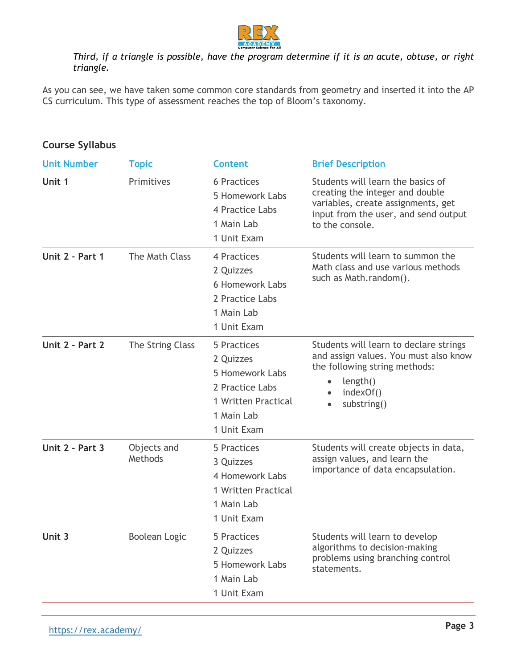

# *Third, if a triangle is possible, have the program determine if it is an acute, obtuse, or right triangle.*

As you can see, we have taken some common core standards from geometry and inserted it into the AP CS curriculum. This type of assessment reaches the top of Bloom's taxonomy.

| <b>Unit Number</b> | <b>Topic</b>           | <b>Content</b>                                                                                                     | <b>Brief Description</b>                                                                                                                                              |
|--------------------|------------------------|--------------------------------------------------------------------------------------------------------------------|-----------------------------------------------------------------------------------------------------------------------------------------------------------------------|
| Unit 1             | Primitives             | <b>6 Practices</b><br>5 Homework Labs<br>4 Practice Labs<br>1 Main Lab<br>1 Unit Exam                              | Students will learn the basics of<br>creating the integer and double<br>variables, create assignments, get<br>input from the user, and send output<br>to the console. |
| Unit 2 - Part 1    | The Math Class         | 4 Practices<br>2 Quizzes<br><b>6 Homework Labs</b><br>2 Practice Labs<br>1 Main Lab<br>1 Unit Exam                 | Students will learn to summon the<br>Math class and use various methods<br>such as Math.random().                                                                     |
| Unit 2 - Part 2    | The String Class       | 5 Practices<br>2 Quizzes<br>5 Homework Labs<br>2 Practice Labs<br>1 Written Practical<br>1 Main Lab<br>1 Unit Exam | Students will learn to declare strings<br>and assign values. You must also know<br>the following string methods:<br>length()<br>indexOf()<br>substring()              |
| Unit 2 - Part 3    | Objects and<br>Methods | 5 Practices<br>3 Quizzes<br>4 Homework Labs<br>1 Written Practical<br>1 Main Lab<br>1 Unit Exam                    | Students will create objects in data,<br>assign values, and learn the<br>importance of data encapsulation.                                                            |
| Unit 3             | <b>Boolean Logic</b>   | 5 Practices<br>2 Quizzes<br>5 Homework Labs<br>1 Main Lab<br>1 Unit Exam                                           | Students will learn to develop<br>algorithms to decision-making<br>problems using branching control<br>statements.                                                    |

# **Course Syllabus**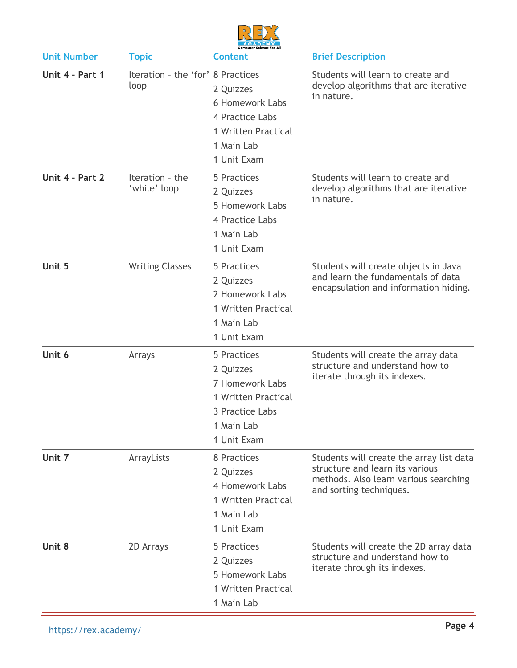

| <b>Unit Number</b> | <b>Topic</b>                              | <b>Content</b>                                                                                                     | <b>Brief Description</b>                                                                                                                        |
|--------------------|-------------------------------------------|--------------------------------------------------------------------------------------------------------------------|-------------------------------------------------------------------------------------------------------------------------------------------------|
| Unit 4 - Part 1    | Iteration - the 'for' 8 Practices<br>loop | 2 Quizzes<br>6 Homework Labs<br>4 Practice Labs<br>1 Written Practical<br>1 Main Lab<br>1 Unit Exam                | Students will learn to create and<br>develop algorithms that are iterative<br>in nature.                                                        |
| Unit 4 - Part 2    | Iteration - the<br>'while' loop           | 5 Practices<br>2 Quizzes<br>5 Homework Labs<br>4 Practice Labs<br>1 Main Lab<br>1 Unit Exam                        | Students will learn to create and<br>develop algorithms that are iterative<br>in nature.                                                        |
| Unit 5             | <b>Writing Classes</b>                    | 5 Practices<br>2 Quizzes<br>2 Homework Labs<br>1 Written Practical<br>1 Main Lab<br>1 Unit Exam                    | Students will create objects in Java<br>and learn the fundamentals of data<br>encapsulation and information hiding.                             |
| Unit 6             | Arrays                                    | 5 Practices<br>2 Quizzes<br>7 Homework Labs<br>1 Written Practical<br>3 Practice Labs<br>1 Main Lab<br>1 Unit Exam | Students will create the array data<br>structure and understand how to<br>iterate through its indexes.                                          |
| Unit 7             | ArrayLists                                | 8 Practices<br>2 Quizzes<br>4 Homework Labs<br>1 Written Practical<br>1 Main Lab<br>1 Unit Exam                    | Students will create the array list data<br>structure and learn its various<br>methods. Also learn various searching<br>and sorting techniques. |
| Unit 8             | 2D Arrays                                 | 5 Practices<br>2 Quizzes<br>5 Homework Labs<br>1 Written Practical<br>1 Main Lab                                   | Students will create the 2D array data<br>structure and understand how to<br>iterate through its indexes.                                       |